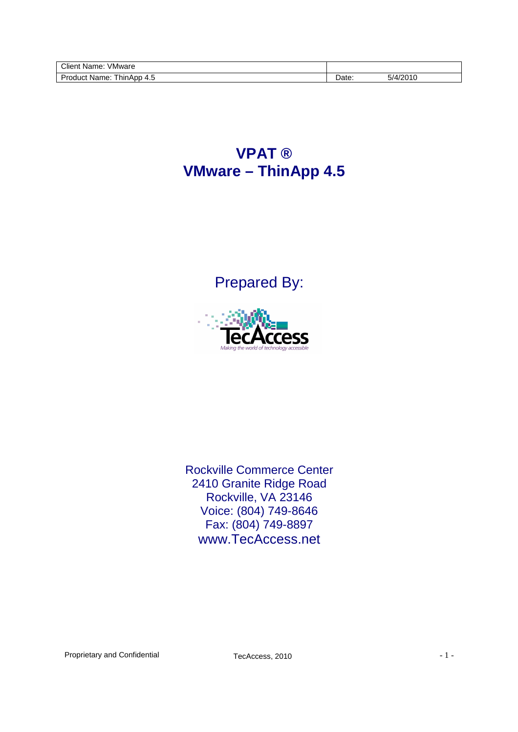| <br>Client<br>/Mware<br>$1 - \cdots$<br>ivame.              |      |                      |
|-------------------------------------------------------------|------|----------------------|
| Orc<br><b>hinApp</b><br>Name<br>$.111C+$<br>$\prime$<br>ה + | ate: | $\sim$ $\frac{1}{2}$ |
|                                                             |      |                      |

## **VPAT ® VMware – ThinApp 4.5**

Prepared By:



Rockville Commerce Center 2410 Granite Ridge Road Rockville, VA 23146 Voice: (804) 749-8646 Fax: (804) 749-8897 www.TecAccess.net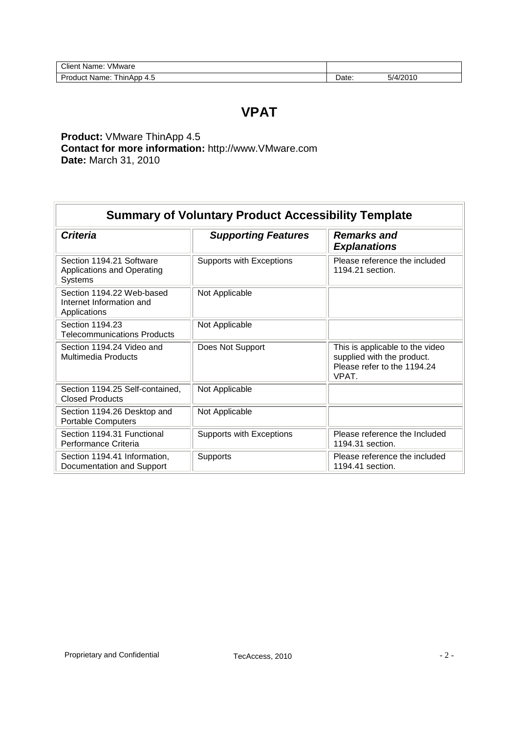| Client<br>VMware<br>Name.    |       |              |
|------------------------------|-------|--------------|
| Product Name:<br>ThinApp 4.5 | Date: | /2010<br>5/4 |

## **VPAT**

**Product:** VMware ThinApp 4.5 **Contact for more information:** http://www.VMware.com **Date:** March 31, 2010

| <b>Summary of Voluntary Product Accessibility Template</b>            |                            |                                                                                                       |  |
|-----------------------------------------------------------------------|----------------------------|-------------------------------------------------------------------------------------------------------|--|
| <b>Criteria</b>                                                       | <b>Supporting Features</b> | <b>Remarks and</b><br><b>Explanations</b>                                                             |  |
| Section 1194.21 Software<br>Applications and Operating<br>Systems     | Supports with Exceptions   | Please reference the included<br>1194.21 section.                                                     |  |
| Section 1194.22 Web-based<br>Internet Information and<br>Applications | Not Applicable             |                                                                                                       |  |
| Section 1194.23<br>Telecommunications Products                        | Not Applicable             |                                                                                                       |  |
| Section 1194.24 Video and<br><b>Multimedia Products</b>               | Does Not Support           | This is applicable to the video<br>supplied with the product.<br>Please refer to the 1194.24<br>VPAT. |  |
| Section 1194.25 Self-contained,<br>Closed Products                    | Not Applicable             |                                                                                                       |  |
| Section 1194.26 Desktop and<br><b>Portable Computers</b>              | Not Applicable             |                                                                                                       |  |
| Section 1194.31 Functional<br>Performance Criteria                    | Supports with Exceptions   | Please reference the Included<br>1194.31 section.                                                     |  |
| Section 1194.41 Information,<br>Documentation and Support             | Supports                   | Please reference the included<br>1194.41 section.                                                     |  |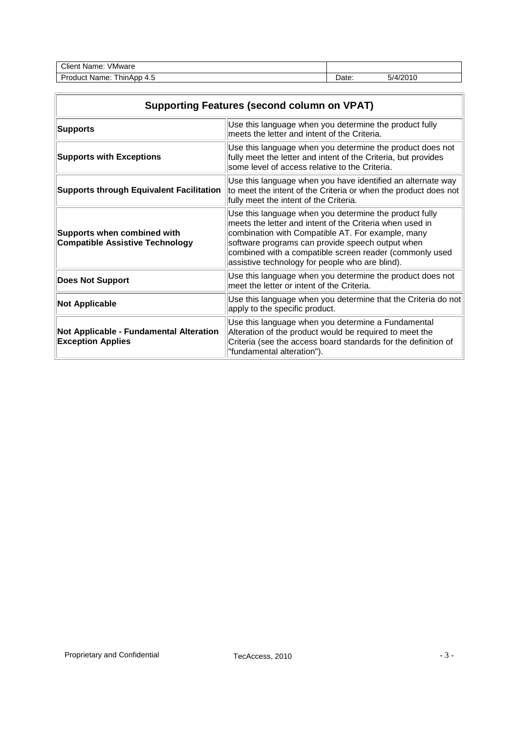| Client<br>√Mware<br>Name:                 |      |          |  |
|-------------------------------------------|------|----------|--|
| <b>Product Name:</b><br>ThinApp<br>ົາ 4.ບ | Date | ാ/4/2011 |  |

| <b>Supporting Features (second column on VPAT)</b>                    |                                                                                                                                                                                                                                                                                                                                           |  |
|-----------------------------------------------------------------------|-------------------------------------------------------------------------------------------------------------------------------------------------------------------------------------------------------------------------------------------------------------------------------------------------------------------------------------------|--|
| <b>Supports</b>                                                       | Use this language when you determine the product fully<br>meets the letter and intent of the Criteria.                                                                                                                                                                                                                                    |  |
| <b>Supports with Exceptions</b>                                       | Use this language when you determine the product does not<br>fully meet the letter and intent of the Criteria, but provides<br>some level of access relative to the Criteria.                                                                                                                                                             |  |
| <b>Supports through Equivalent Facilitation</b>                       | Use this language when you have identified an alternate way<br>to meet the intent of the Criteria or when the product does not<br>fully meet the intent of the Criteria.                                                                                                                                                                  |  |
| Supports when combined with<br><b>Compatible Assistive Technology</b> | Use this language when you determine the product fully<br>meets the letter and intent of the Criteria when used in<br>combination with Compatible AT. For example, many<br>software programs can provide speech output when<br>combined with a compatible screen reader (commonly used<br>assistive technology for people who are blind). |  |
| <b>Does Not Support</b>                                               | Use this language when you determine the product does not<br>meet the letter or intent of the Criteria.                                                                                                                                                                                                                                   |  |
| <b>Not Applicable</b>                                                 | Use this language when you determine that the Criteria do not<br>apply to the specific product.                                                                                                                                                                                                                                           |  |
| Not Applicable - Fundamental Alteration<br><b>Exception Applies</b>   | Use this language when you determine a Fundamental<br>Alteration of the product would be required to meet the<br>Criteria (see the access board standards for the definition of<br>"fundamental alteration").                                                                                                                             |  |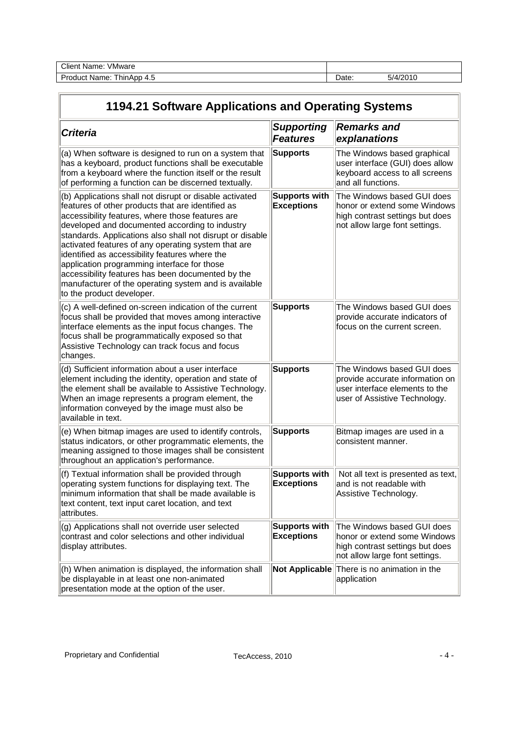| <b>VMware</b><br>Client<br>Name: |       |                 |
|----------------------------------|-------|-----------------|
| Product<br>Mame.<br>ThinApp 4.5  | Date: | 4/2010<br>ь і д |

| 1194.21 Software Applications and Operating Systems                                                                                                                                                                                                                                                                                                                                                                                                                                                                                                                                |                                           |                                                                                                                                  |  |
|------------------------------------------------------------------------------------------------------------------------------------------------------------------------------------------------------------------------------------------------------------------------------------------------------------------------------------------------------------------------------------------------------------------------------------------------------------------------------------------------------------------------------------------------------------------------------------|-------------------------------------------|----------------------------------------------------------------------------------------------------------------------------------|--|
| <b>Criteria</b>                                                                                                                                                                                                                                                                                                                                                                                                                                                                                                                                                                    | <b>Supporting</b><br><b>Features</b>      | <b>Remarks and</b><br>explanations                                                                                               |  |
| (a) When software is designed to run on a system that<br>has a keyboard, product functions shall be executable<br>from a keyboard where the function itself or the result<br>of performing a function can be discerned textually.                                                                                                                                                                                                                                                                                                                                                  | <b>Supports</b>                           | The Windows based graphical<br>user interface (GUI) does allow<br>keyboard access to all screens<br>and all functions.           |  |
| (b) Applications shall not disrupt or disable activated<br>features of other products that are identified as<br>accessibility features, where those features are<br>developed and documented according to industry<br>standards. Applications also shall not disrupt or disable<br>activated features of any operating system that are<br>identified as accessibility features where the<br>application programming interface for those<br>accessibility features has been documented by the<br>manufacturer of the operating system and is available<br>to the product developer. | <b>Supports with</b><br><b>Exceptions</b> | The Windows based GUI does<br>honor or extend some Windows<br>high contrast settings but does<br>not allow large font settings.  |  |
| (c) A well-defined on-screen indication of the current<br>focus shall be provided that moves among interactive<br>interface elements as the input focus changes. The<br>focus shall be programmatically exposed so that<br>Assistive Technology can track focus and focus<br>changes.                                                                                                                                                                                                                                                                                              | <b>Supports</b>                           | The Windows based GUI does<br>provide accurate indicators of<br>focus on the current screen.                                     |  |
| (d) Sufficient information about a user interface<br>element including the identity, operation and state of<br>the element shall be available to Assistive Technology.<br>When an image represents a program element, the<br>information conveyed by the image must also be<br>available in text.                                                                                                                                                                                                                                                                                  | <b>Supports</b>                           | The Windows based GUI does<br>provide accurate information on<br>user interface elements to the<br>user of Assistive Technology. |  |
| (e) When bitmap images are used to identify controls,<br>status indicators, or other programmatic elements, the<br>meaning assigned to those images shall be consistent<br>throughout an application's performance.                                                                                                                                                                                                                                                                                                                                                                | <b>Supports</b>                           | Bitmap images are used in a<br>consistent manner.                                                                                |  |
| (f) Textual information shall be provided through<br>operating system functions for displaying text. The<br>minimum information that shall be made available is<br>text content, text input caret location, and text<br>attributes.                                                                                                                                                                                                                                                                                                                                                | <b>Supports with</b><br><b>Exceptions</b> | Not all text is presented as text,<br>and is not readable with<br>Assistive Technology.                                          |  |
| (g) Applications shall not override user selected<br>contrast and color selections and other individual<br>display attributes.                                                                                                                                                                                                                                                                                                                                                                                                                                                     | <b>Supports with</b><br><b>Exceptions</b> | The Windows based GUI does<br>honor or extend some Windows<br>high contrast settings but does<br>not allow large font settings.  |  |
| (h) When animation is displayed, the information shall<br>be displayable in at least one non-animated<br>presentation mode at the option of the user.                                                                                                                                                                                                                                                                                                                                                                                                                              |                                           | Not Applicable There is no animation in the<br>application                                                                       |  |

 $\overline{\phantom{a}}$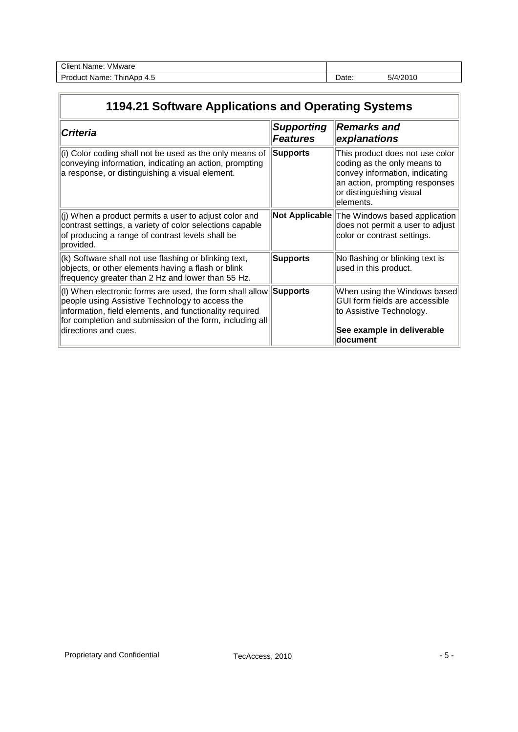| $\overline{\phantom{a}}$<br>Clien<br>/Mware<br>Name<br>. |      |       |
|----------------------------------------------------------|------|-------|
| $\sqrt{2}$<br>ے س<br>. hinA<br>≅me.<br>N≤<br>ᆪ<br>.ט     | alc. | 10010 |

| 1194.21 Software Applications and Operating Systems                                                                                                                                                                                                        |                                      |                                                                                                                                                                             |  |
|------------------------------------------------------------------------------------------------------------------------------------------------------------------------------------------------------------------------------------------------------------|--------------------------------------|-----------------------------------------------------------------------------------------------------------------------------------------------------------------------------|--|
| <b>Criteria</b>                                                                                                                                                                                                                                            | <b>Supporting</b><br><b>Features</b> | <b>Remarks and</b><br>explanations                                                                                                                                          |  |
| (i) Color coding shall not be used as the only means of<br>conveying information, indicating an action, prompting<br>a response, or distinguishing a visual element.                                                                                       | <b>Supports</b>                      | This product does not use color<br>coding as the only means to<br>convey information, indicating<br>an action, prompting responses<br>or distinguishing visual<br>elements. |  |
| (j) When a product permits a user to adjust color and<br>contrast settings, a variety of color selections capable<br>of producing a range of contrast levels shall be<br>provided.                                                                         |                                      | Not Applicable The Windows based application<br>does not permit a user to adjust<br>color or contrast settings.                                                             |  |
| (k) Software shall not use flashing or blinking text,<br>objects, or other elements having a flash or blink<br>frequency greater than 2 Hz and lower than 55 Hz.                                                                                           | <b>Supports</b>                      | No flashing or blinking text is<br>used in this product.                                                                                                                    |  |
| (I) When electronic forms are used, the form shall allow<br>people using Assistive Technology to access the<br>information, field elements, and functionality required<br>for completion and submission of the form, including all<br>directions and cues. | <b>Supports</b>                      | When using the Windows based<br>GUI form fields are accessible<br>to Assistive Technology.<br>See example in deliverable<br>document                                        |  |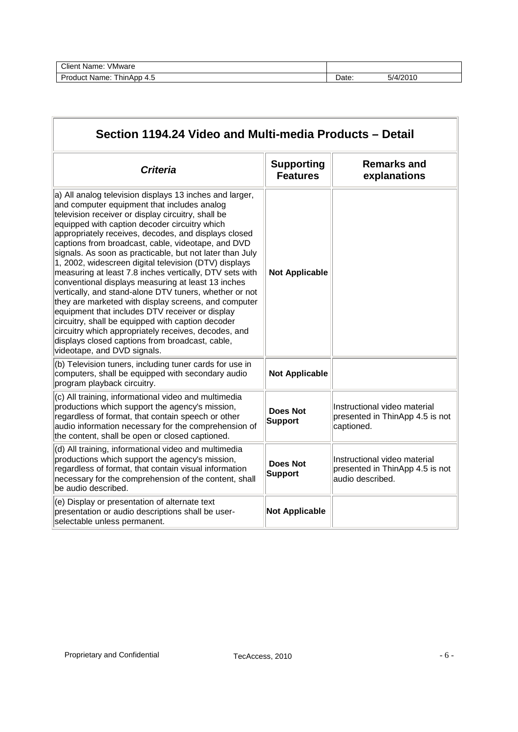| <b>Client</b><br>∨Mware<br>: Name:               |       |          |
|--------------------------------------------------|-------|----------|
| <b>Product Name:</b><br><b>IninApp</b><br>ົາ 4.ບ | Date: | 5/4/2010 |

| Section 1194.24 Video and Multi-media Products – Detail                                                                                                                                                                                                                                                                                                                                                                                                                                                                                                                                                                                                                                                                                                                                                                                                                                                                               |                                      |                                                                                     |  |
|---------------------------------------------------------------------------------------------------------------------------------------------------------------------------------------------------------------------------------------------------------------------------------------------------------------------------------------------------------------------------------------------------------------------------------------------------------------------------------------------------------------------------------------------------------------------------------------------------------------------------------------------------------------------------------------------------------------------------------------------------------------------------------------------------------------------------------------------------------------------------------------------------------------------------------------|--------------------------------------|-------------------------------------------------------------------------------------|--|
| <b>Criteria</b>                                                                                                                                                                                                                                                                                                                                                                                                                                                                                                                                                                                                                                                                                                                                                                                                                                                                                                                       | <b>Supporting</b><br><b>Features</b> | <b>Remarks and</b><br>explanations                                                  |  |
| a) All analog television displays 13 inches and larger,<br>and computer equipment that includes analog<br>television receiver or display circuitry, shall be<br>equipped with caption decoder circuitry which<br>appropriately receives, decodes, and displays closed<br>captions from broadcast, cable, videotape, and DVD<br>signals. As soon as practicable, but not later than July<br>1, 2002, widescreen digital television (DTV) displays<br>measuring at least 7.8 inches vertically, DTV sets with<br>conventional displays measuring at least 13 inches<br>vertically, and stand-alone DTV tuners, whether or not<br>they are marketed with display screens, and computer<br>equipment that includes DTV receiver or display<br>circuitry, shall be equipped with caption decoder<br>circuitry which appropriately receives, decodes, and<br>displays closed captions from broadcast, cable,<br>videotape, and DVD signals. | <b>Not Applicable</b>                |                                                                                     |  |
| (b) Television tuners, including tuner cards for use in<br>computers, shall be equipped with secondary audio<br>program playback circuitry.                                                                                                                                                                                                                                                                                                                                                                                                                                                                                                                                                                                                                                                                                                                                                                                           | <b>Not Applicable</b>                |                                                                                     |  |
| (c) All training, informational video and multimedia<br>productions which support the agency's mission,<br>regardless of format, that contain speech or other<br>audio information necessary for the comprehension of<br>the content, shall be open or closed captioned.                                                                                                                                                                                                                                                                                                                                                                                                                                                                                                                                                                                                                                                              | <b>Does Not</b><br><b>Support</b>    | Instructional video material<br>presented in ThinApp 4.5 is not<br>captioned.       |  |
| (d) All training, informational video and multimedia<br>productions which support the agency's mission,<br>regardless of format, that contain visual information<br>necessary for the comprehension of the content, shall<br>be audio described.                                                                                                                                                                                                                                                                                                                                                                                                                                                                                                                                                                                                                                                                                      | <b>Does Not</b><br><b>Support</b>    | Instructional video material<br>presented in ThinApp 4.5 is not<br>audio described. |  |
| (e) Display or presentation of alternate text<br>presentation or audio descriptions shall be user-<br>selectable unless permanent.                                                                                                                                                                                                                                                                                                                                                                                                                                                                                                                                                                                                                                                                                                                                                                                                    | <b>Not Applicable</b>                |                                                                                     |  |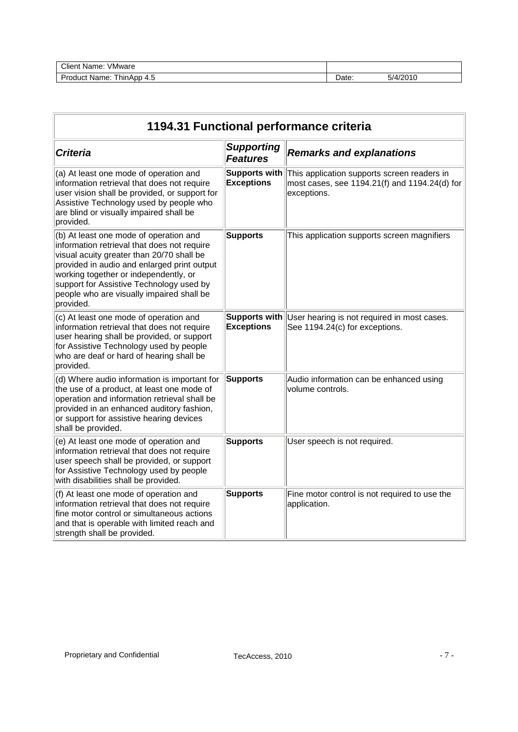| VMware<br>Client<br>* Name.                        |      |              |
|----------------------------------------------------|------|--------------|
| Drc<br>hinA<br>Apr<br>∴uquu<br>Name.<br>Δ<br><br>u | )ate | 10010<br>,,, |
|                                                    |      |              |

| 1194.31 Functional performance criteria                                                                                                                                                                                                                                                                                          |                                      |                                                                                                             |  |  |
|----------------------------------------------------------------------------------------------------------------------------------------------------------------------------------------------------------------------------------------------------------------------------------------------------------------------------------|--------------------------------------|-------------------------------------------------------------------------------------------------------------|--|--|
| <b>Criteria</b>                                                                                                                                                                                                                                                                                                                  | <b>Supporting</b><br><b>Features</b> | <b>Remarks and explanations</b>                                                                             |  |  |
| (a) At least one mode of operation and<br>information retrieval that does not require<br>user vision shall be provided, or support for<br>Assistive Technology used by people who<br>are blind or visually impaired shall be<br>provided.                                                                                        | Supports with<br><b>Exceptions</b>   | This application supports screen readers in<br>most cases, see 1194.21(f) and 1194.24(d) for<br>exceptions. |  |  |
| (b) At least one mode of operation and<br>information retrieval that does not require<br>visual acuity greater than 20/70 shall be<br>provided in audio and enlarged print output<br>working together or independently, or<br>support for Assistive Technology used by<br>people who are visually impaired shall be<br>provided. | <b>Supports</b>                      | This application supports screen magnifiers                                                                 |  |  |
| (c) At least one mode of operation and<br>information retrieval that does not require<br>user hearing shall be provided, or support<br>for Assistive Technology used by people<br>who are deaf or hard of hearing shall be<br>provided.                                                                                          | Supports with<br><b>Exceptions</b>   | User hearing is not required in most cases.<br>See 1194.24(c) for exceptions.                               |  |  |
| (d) Where audio information is important for<br>the use of a product, at least one mode of<br>operation and information retrieval shall be<br>provided in an enhanced auditory fashion,<br>or support for assistive hearing devices<br>shall be provided.                                                                        | <b>Supports</b>                      | Audio information can be enhanced using<br>volume controls.                                                 |  |  |
| (e) At least one mode of operation and<br>information retrieval that does not require<br>user speech shall be provided, or support<br>for Assistive Technology used by people<br>with disabilities shall be provided.                                                                                                            | <b>Supports</b>                      | User speech is not required.                                                                                |  |  |
| (f) At least one mode of operation and<br>information retrieval that does not require<br>fine motor control or simultaneous actions<br>and that is operable with limited reach and<br>strength shall be provided.                                                                                                                | <b>Supports</b>                      | Fine motor control is not required to use the<br>application.                                               |  |  |